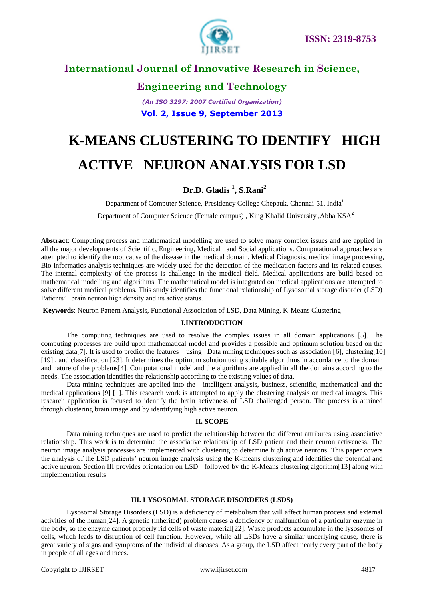

# **Engineering and Technology**

*(An ISO 3297: 2007 Certified Organization)* **Vol. 2, Issue 9, September 2013**

# **K-MEANS CLUSTERING TO IDENTIFY HIGH ACTIVE NEURON ANALYSIS FOR LSD**

### **Dr.D. Gladis <sup>1</sup> , S.Rani<sup>2</sup>**

Department of Computer Science, Presidency College Chepauk, Chennai-51, India**<sup>1</sup>**

Department of Computer Science (Female campus) , King Khalid University ,Abha KSA**<sup>2</sup>**

**Abstract**: Computing process and mathematical modelling are used to solve many complex issues and are applied in all the major developments of Scientific, Engineering, Medical and Social applications. Computational approaches are attempted to identify the root cause of the disease in the medical domain. Medical Diagnosis, medical image processing, Bio informatics analysis techniques are widely used for the detection of the medication factors and its related causes. The internal complexity of the process is challenge in the medical field. Medical applications are build based on mathematical modelling and algorithms. The mathematical model is integrated on medical applications are attempted to solve different medical problems. This study identifies the functional relationship of Lysosomal storage disorder (LSD) Patients' brain neuron high density and its active status.

**Keywords**: Neuron Pattern Analysis, Functional Association of LSD, Data Mining, K-Means Clustering

### **I.INTRODUCTION**

The computing techniques are used to resolve the complex issues in all domain applications [5]. The computing processes are build upon mathematical model and provides a possible and optimum solution based on the existing data[7]. It is used to predict the features using Data mining techniques such as association [6], clustering[10] [19] , and classification [23]. It determines the optimum solution using suitable algorithms in accordance to the domain and nature of the problems[4]. Computational model and the algorithms are applied in all the domains according to the needs. The association identifies the relationship according to the existing values of data.

Data mining techniques are applied into the intelligent analysis, business, scientific, mathematical and the medical applications [9] [1]. This research work is attempted to apply the clustering analysis on medical images. This research application is focused to identify the brain activeness of LSD challenged person. The process is attained through clustering brain image and by identifying high active neuron.

#### **II. SCOPE**

Data mining techniques are used to predict the relationship between the different attributes using associative relationship. This work is to determine the associative relationship of LSD patient and their neuron activeness. The neuron image analysis processes are implemented with clustering to determine high active neurons. This paper covers the analysis of the LSD patients' neuron image analysis using the K-means clustering and identifies the potential and active neuron. Section III provides orientation on LSD followed by the K-Means clustering algorithm[13] along with implementation results

### **III. LYSOSOMAL STORAGE DISORDERS (LSDS)**

Lysosomal Storage Disorders (LSD) is a deficiency of metabolism that will affect human process and external activities of the human[24]. A genetic (inherited) problem causes a deficiency or malfunction of a particular enzyme in the body, so the enzyme cannot properly rid cells of waste material[22]. Waste products accumulate in the lysosomes of cells, which leads to disruption of cell function. However, while all LSDs have a similar underlying cause, there is great variety of signs and symptoms of the individual diseases. As a group, the LSD affect nearly every part of the body in people of all ages and races.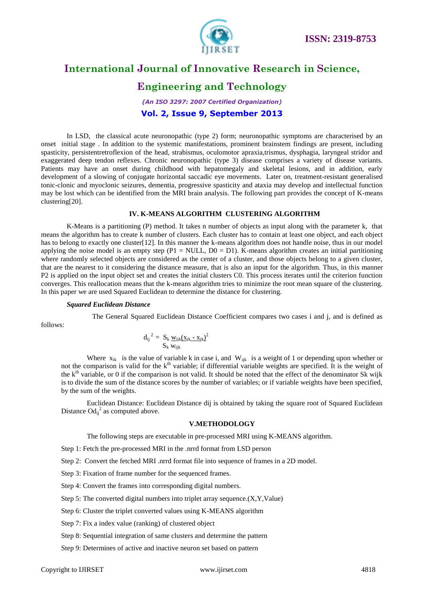

# **Engineering and Technology**

### *(An ISO 3297: 2007 Certified Organization)* **Vol. 2, Issue 9, September 2013**

In LSD, the classical acute neuronopathic (type 2) form; neuronopathic symptoms are characterised by an onset initial stage . In addition to the systemic manifestations, prominent brainstem findings are present, including spasticity, persistentretroflexion of the head, strabismus, oculomotor apraxia,trismus, dysphagia, laryngeal stridor and exaggerated deep tendon reflexes. Chronic neuronopathic (type 3) disease comprises a variety of disease variants. Patients may have an onset during childhood with hepatomegaly and skeletal lesions, and in addition, early development of a slowing of conjugate horizontal saccadic eye movements. Later on, treatment-resistant generalised tonic-clonic and myoclonic seizures, dementia, progressive spasticity and ataxia may develop and intellectual function may be lost which can be identified from the MRI brain analysis. The following part provides the concept of K-means clustering[20].

### **IV. K-MEANS ALGORITHM CLUSTERING ALGORITHM**

K-Means is a partitioning (P) method. It takes n number of objects as input along with the parameter k, that means the algorithm has to create k number of clusters. Each cluster has to contain at least one object, and each object has to belong to exactly one cluster [12]. In this manner the k-means algorithm does not handle noise, thus in our model applying the noise model is an empty step (P1 = NULL,  $D0 = D1$ ). K-means algorithm creates an initial partitioning where randomly selected objects are considered as the center of a cluster, and those objects belong to a given cluster, that are the nearest to it considering the distance measure, that is also an input for the algorithm. Thus, in this manner P2 is applied on the input object set and creates the initial clusters C0. This process iterates until the criterion function converges. This reallocation means that the k-means algorithm tries to minimize the root mean square of the clustering. In this paper we are used Squared Euclidean to determine the distance for clustering.

#### *Squared Euclidean Distance*

The General Squared Euclidean Distance Coefficient compares two cases i and j, and is defined as follows:

$$
d_{ij}^2 = \frac{S_k}{S_k} \frac{w_{ijk}(x_{ik} - x_{jk})^2}{w_{ijk}}
$$

Where  $x_{ik}$  is the value of variable k in case i, and  $W_{iik}$  is a weight of 1 or depending upon whether or not the comparison is valid for the  $k<sup>th</sup>$  variable; if differential variable weights are specified. It is the weight of the  $k<sup>th</sup>$  variable, or 0 if the comparison is not valid. It should be noted that the effect of the denominator Sk wijk is to divide the sum of the distance scores by the number of variables; or if variable weights have been specified, by the sum of the weights.

Euclidean Distance: Euclidean Distance dij is obtained by taking the square root of Squared Euclidean Distance  $\mathrm{Od}_{ij}^2$  as computed above.

### **V.METHODOLOGY**

The following steps are executable in pre-processed MRI using K-MEANS algorithm.

Step 1: Fetch the pre-processed MRI in the .nrrd format from LSD person

Step 2: Convert the fetched MRI .nrrd format file into sequence of frames in a 2D model.

Step 3: Fixation of frame number for the sequenced frames.

Step 4: Convert the frames into corresponding digital numbers.

Step 5: The converted digital numbers into triplet array sequence.(X,Y,Value)

Step 6: Cluster the triplet converted values using K-MEANS algorithm

Step 7: Fix a index value (ranking) of clustered object

Step 8: Sequential integration of same clusters and determine the pattern

Step 9: Determines of active and inactive neuron set based on pattern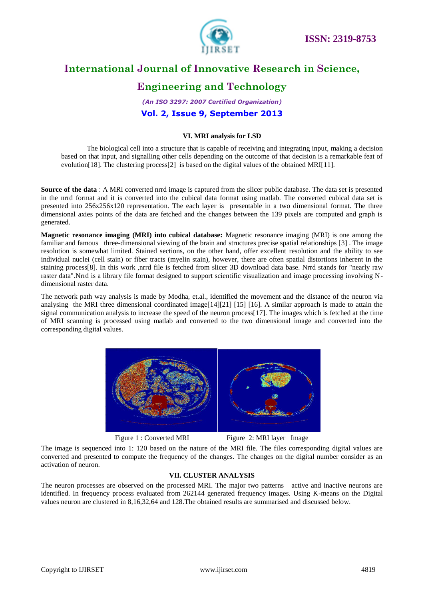

# **Engineering and Technology**

*(An ISO 3297: 2007 Certified Organization)* **Vol. 2, Issue 9, September 2013**

### **VI. MRI analysis for LSD**

The biological cell into a structure that is capable of receiving and integrating input, making a decision based on that input, and signalling other cells depending on the outcome of that decision is a remarkable feat of evolution[18]. The clustering process[2] is based on the digital values of the obtained MRI[11].

**Source of the data** : A MRI converted nrrd image is captured from the slicer public database. The data set is presented in the nrrd format and it is converted into the cubical data format using matlab. The converted cubical data set is presented into 256x256x120 representation. The each layer is presentable in a two dimensional format. The three dimensional axies points of the data are fetched and the changes between the 139 pixels are computed and graph is generated.

**Magnetic resonance imaging (MRI) into cubical database:** Magnetic resonance imaging (MRI) is one among the familiar and famous three-dimensional viewing of the brain and structures precise spatial relationships [3] . The image resolution is somewhat limited. Stained sections, on the other hand, offer excellent resolution and the ability to see individual nuclei (cell stain) or fiber tracts (myelin stain), however, there are often spatial distortions inherent in the staining process[8]. In this work ,nrrd file is fetched from slicer 3D download data base. Nrrd stands for "nearly raw raster data".Nrrd is a library file format designed to support scientific visualization and image processing involving Ndimensional raster data.

The network path way analysis is made by Modha, et.al., identified the movement and the distance of the neuron via analysing the MRI three dimensional coordinated image[14][21] [15] [16]. A similar approach is made to attain the signal communication analysis to increase the speed of the neuron process[17]. The images which is fetched at the time of MRI scanning is processed using matlab and converted to the two dimensional image and converted into the corresponding digital values.



Figure 1 : Converted MRI Figure 2: MRI layer Image

The image is sequenced into 1: 120 based on the nature of the MRI file. The files corresponding digital values are converted and presented to compute the frequency of the changes. The changes on the digital number consider as an activation of neuron.

### **VII. CLUSTER ANALYSIS**

The neuron processes are observed on the processed MRI. The major two patterns active and inactive neurons are identified. In frequency process evaluated from 262144 generated frequency images. Using K-means on the Digital values neuron are clustered in 8,16,32,64 and 128.The obtained results are summarised and discussed below.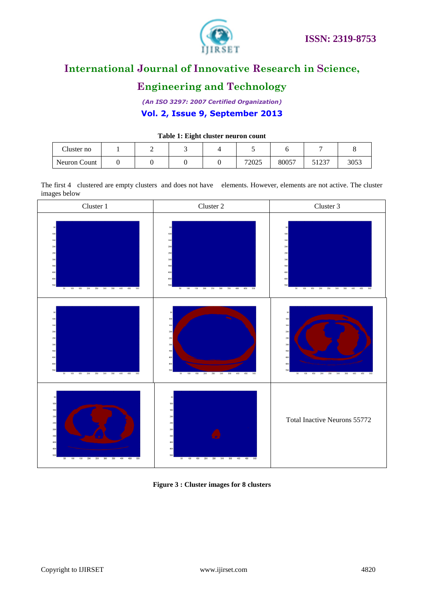

# **Engineering and Technology**

*(An ISO 3297: 2007 Certified Organization)* **Vol. 2, Issue 9, September 2013**

### **Table 1: Eight cluster neuron count**

| Cluster no   | - |  | $\overline{\phantom{0}}$ |       |                  |      |
|--------------|---|--|--------------------------|-------|------------------|------|
| Neuron Count |   |  | 72025                    | 80057 | 51027<br>ر، ۱۷ ر | 3053 |

The first 4 clustered are empty clusters and does not have elements. However, elements are not active. The cluster images below



**Figure 3 : Cluster images for 8 clusters**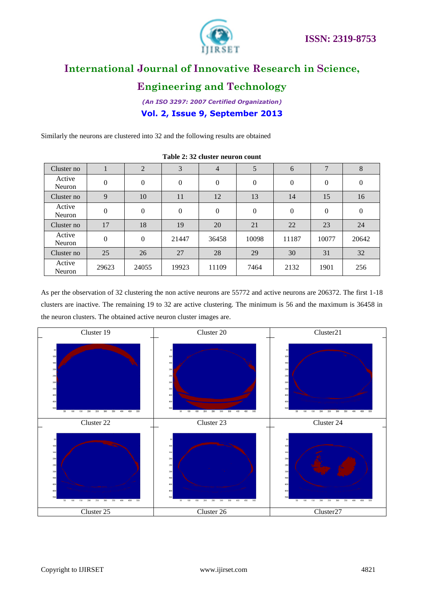

# **Engineering and Technology**

*(An ISO 3297: 2007 Certified Organization)* **Vol. 2, Issue 9, September 2013**

Similarly the neurons are clustered into 32 and the following results are obtained

| Cluster no       |              | 2              | 3                | $\overline{4}$   | 5            | 6        | $\mathbf{r}$   | 8                |
|------------------|--------------|----------------|------------------|------------------|--------------|----------|----------------|------------------|
| Active<br>Neuron | $\mathbf{0}$ | $\overline{0}$ | $\boldsymbol{0}$ | $\boldsymbol{0}$ | $\mathbf{0}$ | $\Omega$ | $\overline{0}$ | $\boldsymbol{0}$ |
| Cluster no       | 9            | 10             | 11               | 12               | 13           | 14       | 15             | 16               |
| Active<br>Neuron | $\mathbf{0}$ | $\mathbf{0}$   | $\boldsymbol{0}$ | $\boldsymbol{0}$ | $\mathbf{0}$ | $\Omega$ | $\overline{0}$ | $\boldsymbol{0}$ |
| Cluster no       | 17           | 18             | 19               | 20               | 21           | 22       | 23             | 24               |
| Active<br>Neuron | $\theta$     | $\mathbf{0}$   | 21447            | 36458            | 10098        | 11187    | 10077          | 20642            |
| Cluster no       | 25           | 26             | 27               | 28               | 29           | 30       | 31             | 32               |
| Active<br>Neuron | 29623        | 24055          | 19923            | 11109            | 7464         | 2132     | 1901           | 256              |

**Table 2: 32 cluster neuron count**

As per the observation of 32 clustering the non active neurons are 55772 and active neurons are 206372. The first 1-18 clusters are inactive. The remaining 19 to 32 are active clustering. The minimum is 56 and the maximum is 36458 in the neuron clusters. The obtained active neuron cluster images are.

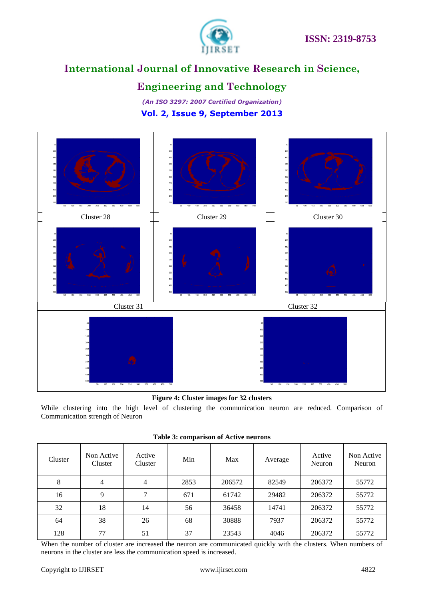

# **Engineering and Technology**

*(An ISO 3297: 2007 Certified Organization)* **Vol. 2, Issue 9, September 2013**



### **Figure 4: Cluster images for 32 clusters**

While clustering into the high level of clustering the communication neuron are reduced. Comparison of Communication strength of Neuron

| Cluster | Non Active<br>Cluster | Active<br>Cluster | Min  | Max    | Average | Active<br>Neuron | Non Active<br>Neuron |
|---------|-----------------------|-------------------|------|--------|---------|------------------|----------------------|
| 8       | 4                     |                   | 2853 | 206572 | 82549   | 206372           | 55772                |
| 16      | 9                     | ┑                 | 671  | 61742  | 29482   | 206372           | 55772                |
| 32      | 18                    | 14                | 56   | 36458  | 14741   | 206372           | 55772                |
| 64      | 38                    | 26                | 68   | 30888  | 7937    | 206372           | 55772                |
| 128     | 77                    | 51                | 37   | 23543  | 4046    | 206372           | 55772                |

**Table 3: comparison of Active neurons**

When the number of cluster are increased the neuron are communicated quickly with the clusters. When numbers of neurons in the cluster are less the communication speed is increased.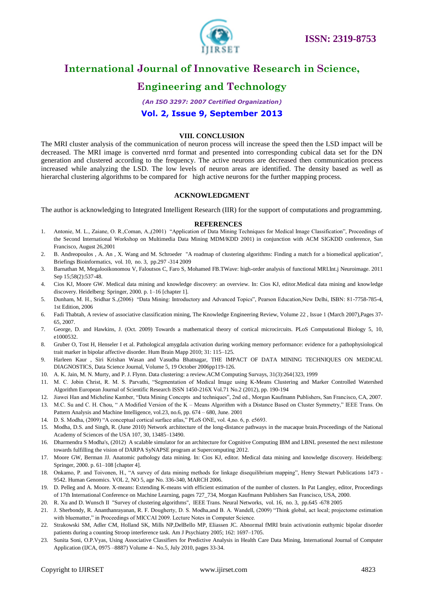

# **Engineering and Technology**

# *(An ISO 3297: 2007 Certified Organization)*

### **Vol. 2, Issue 9, September 2013**

### **VIII. CONCLUSION**

The MRI cluster analysis of the communication of neuron process will increase the speed then the LSD impact will be decreased. The MRI image is converted nrrd format and presented into corresponding cubical data set for the DN generation and clustered according to the frequency. The active neurons are decreased then communication process increased while analyzing the LSD. The low levels of neuron areas are identified. The density based as well as hierarchal clustering algorithms to be compared for high active neurons for the further mapping process.

### **ACKNOWLEDGMENT**

The author is acknowledging to Integrated Intelligent Research (IIR) for the support of computations and programming.

#### **REFERENCES**

- 1. Antonie, M. L., Zaiane, O. R.,Coman, A.,(2001) "Application of Data Mining Techniques for Medical Image Classification", Proceedings of the Second International Workshop on Multimedia Data Mining MDM/KDD 2001) in conjunction with ACM SIGKDD conference, San Francisco, August 26,2001
- 2. B. Andreopoulos , A. An , X. Wang and M. Schroeder "A roadmap of clustering algorithms: Finding a match for a biomedical application", Briefings Bioinformatics, vol. 10, no. 3, pp.297 -314 2009
- 3. Barnathan M, Megalooikonomou V, Faloutsos C, Faro S, Mohamed FB.TWave: high-order analysis of functional MRI.Int.j Neuroimage. 2011 Sep 15;58(2):537-48.
- 4. Cios KJ, Moore GW. Medical data mining and knowledge discovery: an overview. In: Cios KJ, editor.Medical data mining and knowledge discovery. Heidelberg: Springer, 2000. p. 1–16 [chapter 1].
- 5. Dunham, M. H., Sridhar S.,(2006) "Data Mining: Introductory and Advanced Topics", Pearson Education,New Delhi, ISBN: 81-7758-785-4, 1st Edition, 2006
- 6. Fadi Thabtah, A review of associative classification mining, The Knowledge Engineering Review, Volume 22 , Issue 1 (March 2007),Pages 37- 65, 2007.
- 7. George, D. and Hawkins, J. (Oct. 2009) Towards a mathematical theory of cortical microcircuits. PLoS Computational Biology 5, 10, e1000532.
- 8. Gruber O, Tost H, Henseler I et al. Pathological amygdala activation during working memory performance: evidence for a pathophysiological trait marker in bipolar affective disorder. Hum Brain Mapp 2010; 31: 115–125.
- 9. Harleen Kaur , Siri Krishan Wasan and Vasudha Bhatnagar, THE IMPACT OF DATA MINING TECHNIQUES ON MEDICAL DIAGNOSTICS, Data Science Journal, Volume 5, 19 October 2006pp119-126.
- 10. A. K. Jain, M. N. Murty, and P. J. Flynn. Data clustering: a review.ACM Computing Survays, 31(3):264{323, 1999
- 11. M. C. Jobin Christ, R. M. S. Parvathi, "Segmentation of Medical Image using K-Means Clustering and Marker Controlled Watershed Algorithm European Journal of Scientific Research ISSN 1450-216X Vol.71 No.2 (2012), pp. 190-194
- 12. Jiawei Han and Micheline Kamber, "Data Mining Concepts and techniques", 2nd ed., Morgan Kaufmann Publishers, San Francisco, CA, 2007.
- 13. M.C. Su and C. H. Chou, " A Modified Version of the K Means Algorithm with a Distance Based on Cluster Symmetry," IEEE Trans. On Pattern Analysis and Machine Intelligence, vol.23, no.6, pp. 674 – 680, June. 2001
- 14. D. S. Modha, (2009) "A conceptual cortical surface atlas," PLoS ONE, vol. 4,no. 6, p. e5693.
- 15. Modha, D.S. and Singh, R. (June 2010) Network architecture of the long-distance pathways in the macaque brain.Proceedings of the National Academy of Sciences of the USA 107, 30, 13485–13490.
- 16. Dharmendra S Modha's, (2012) A scalable simulator for an architecture for Cognitive Computing IBM and LBNL presented the next milestone towards fulfilling the vision of DARPA SyNAPSE program at Supercomputing 2012.
- 17. Moore GW, Berman JJ. Anatomic pathology data mining. In: Cios KJ, editor. Medical data mining and knowledge discovery. Heidelberg: Springer, 2000. p. 61–108 [chapter 4].
- 18. Onkamo, P. and Toivonen, H., "A survey of data mining methods for linkage disequilibrium mapping", Henry Stewart Publications 1473 9542. Human Genomics. VOL 2, NO 5, age No. 336-340, MARCH 2006.
- 19. D. Pelleg and A. Moore. X-means: Extending K-means with efficient estimation of the number of clusters. In Pat Langley, editor, Proceedings of 17th International Conference on Machine Learning, pages 727\_734, Morgan Kaufmann Publishers San Francisco, USA, 2000.
- 20. R. Xu and D. Wunsch II "Survey of clustering algorithms", IEEE Trans. Neural Networks, vol. 16, no. 3, pp.645 -678 2005
- 21. J. Sherbondy, R. Ananthanrayanan, R. F. Dougherty, D. S. Modha,and B. A. Wandell, (2009) "Think global, act local; projectome estimation with bluematter," in Proceedings of MICCAI 2009. Lecture Notes in Computer Science.
- 22. Strakowski SM, Adler CM, Holland SK, Mills NP,DelBello MP, Eliassen JC. Abnormal fMRI brain activationin euthymic bipolar disorder patients during a counting Stroop interference task. Am J Psychiatry 2005; 162: 1697–1705.
- 23. Sunita Soni, O.P.Vyas, Using Associative Classifiers for Predictive Analysis in Health Care Data Mining, International Journal of Computer Application (IJCA, 0975 –8887) Volume 4– No.5, July 2010, pages 33-34.